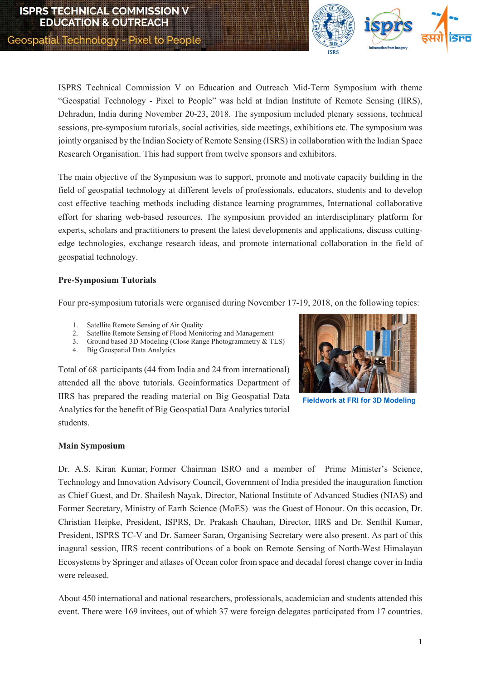

ISPRS Technical Commission V on Education and Outreach Mid-Term Symposium with theme "Geospatial Technology - Pixel to People" was held at Indian Institute of Remote Sensing (IIRS), Dehradun, India during November 20-23, 2018. The symposium included plenary sessions, technical sessions, pre-symposium tutorials, social activities, side meetings, exhibitions etc. The symposium was jointly organised by the Indian Society of Remote Sensing (ISRS) in collaboration with the Indian Space Research Organisation. This had support from twelve sponsors and exhibitors.

The main objective of the Symposium was to support, promote and motivate capacity building in the field of geospatial technology at different levels of professionals, educators, students and to develop cost effective teaching methods including distance learning programmes, International collaborative effort for sharing web-based resources. The symposium provided an interdisciplinary platform for experts, scholars and practitioners to present the latest developments and applications, discuss cuttingedge technologies, exchange research ideas, and promote international collaboration in the field of geospatial technology.

### Pre-Symposium Tutorials

Four pre-symposium tutorials were organised during November 17-19, 2018, on the following topics:

- 1. Satellite Remote Sensing of Air Quality
- 2. Satellite Remote Sensing of Flood Monitoring and Management
- 3. Ground based 3D Modeling (Close Range Photogrammetry & TLS)
- 4. Big Geospatial Data Analytics

Total of 68 participants (44 from India and 24 from international) attended all the above tutorials. Geoinformatics Department of IIRS has prepared the reading material on Big Geospatial Data Analytics for the benefit of Big Geospatial Data Analytics tutorial students.



Fieldwork at FRI for 3D Modeling

### Main Symposium

Dr. A.S. Kiran Kumar, Former Chairman ISRO and a member of Prime Minister's Science, Technology and Innovation Advisory Council, Government of India presided the inauguration function as Chief Guest, and Dr. Shailesh Nayak, Director, National Institute of Advanced Studies (NIAS) and Former Secretary, Ministry of Earth Science (MoES) was the Guest of Honour. On this occasion, Dr. Christian Heipke, President, ISPRS, Dr. Prakash Chauhan, Director, IIRS and Dr. Senthil Kumar, President, ISPRS TC-V and Dr. Sameer Saran, Organising Secretary were also present. As part of this inagural session, IIRS recent contributions of a book on Remote Sensing of North-West Himalayan Ecosystems by Springer and atlases of Ocean color from space and decadal forest change cover in India were released.

About 450 international and national researchers, professionals, academician and students attended this event. There were 169 invitees, out of which 37 were foreign delegates participated from 17 countries.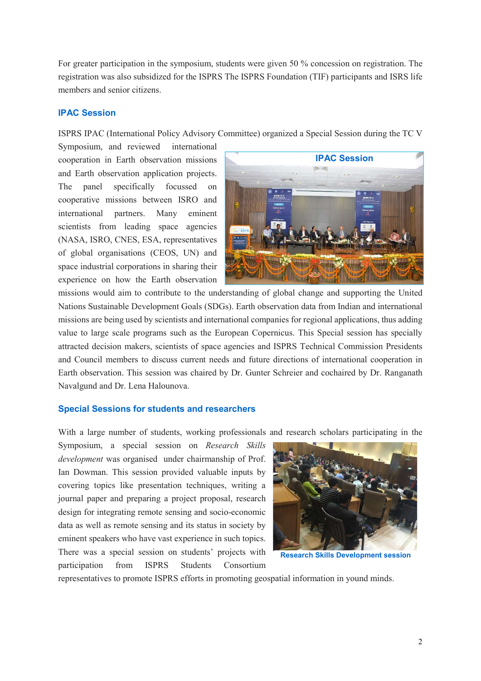For greater participation in the symposium, students were given 50 % concession on registration. The registration was also subsidized for the ISPRS The ISPRS Foundation (TIF) participants and ISRS life members and senior citizens.

## IPAC Session

ISPRS IPAC (International Policy Advisory Committee) organized a Special Session during the TC V

Symposium, and reviewed international cooperation in Earth observation missions and Earth observation application projects. The panel specifically focussed on cooperative missions between ISRO and international partners. Many eminent scientists from leading space agencies (NASA, ISRO, CNES, ESA, representatives of global organisations (CEOS, UN) and space industrial corporations in sharing their experience on how the Earth observation



missions would aim to contribute to the understanding of global change and supporting the United Nations Sustainable Development Goals (SDGs). Earth observation data from Indian and international missions are being used by scientists and international companies for regional applications, thus adding value to large scale programs such as the European Copernicus. This Special session has specially attracted decision makers, scientists of space agencies and ISPRS Technical Commission Presidents and Council members to discuss current needs and future directions of international cooperation in Earth observation. This session was chaired by Dr. Gunter Schreier and cochaired by Dr. Ranganath Navalgund and Dr. Lena Halounova.

#### Special Sessions for students and researchers

With a large number of students, working professionals and research scholars participating in the

Symposium, a special session on Research Skills development was organised under chairmanship of Prof. Ian Dowman. This session provided valuable inputs by covering topics like presentation techniques, writing a journal paper and preparing a project proposal, research design for integrating remote sensing and socio-economic data as well as remote sensing and its status in society by eminent speakers who have vast experience in such topics. There was a special session on students' projects with participation from ISPRS Students Consortium



Research Skills Development session

representatives to promote ISPRS efforts in promoting geospatial information in yound minds.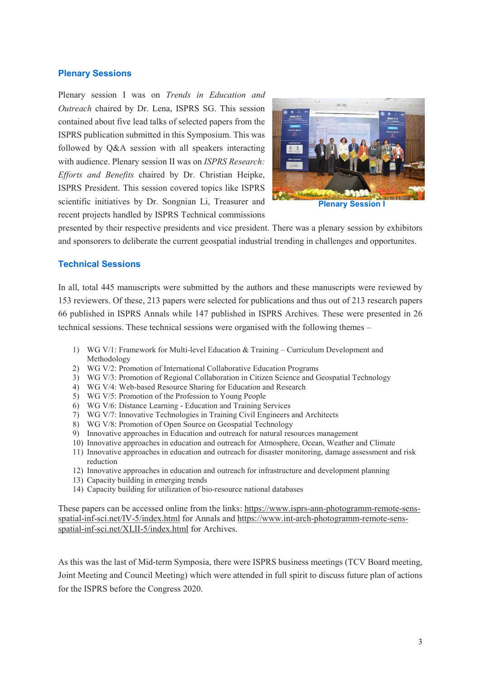## Plenary Sessions

Plenary session I was on Trends in Education and Outreach chaired by Dr. Lena, ISPRS SG. This session contained about five lead talks of selected papers from the ISPRS publication submitted in this Symposium. This was followed by Q&A session with all speakers interacting with audience. Plenary session II was on ISPRS Research: Efforts and Benefits chaired by Dr. Christian Heipke, ISPRS President. This session covered topics like ISPRS scientific initiatives by Dr. Songnian Li, Treasurer and recent projects handled by ISPRS Technical commissions



Plenary Session I

presented by their respective presidents and vice president. There was a plenary session by exhibitors and sponsorers to deliberate the current geospatial industrial trending in challenges and opportunites.

# Technical Sessions

In all, total 445 manuscripts were submitted by the authors and these manuscripts were reviewed by 153 reviewers. Of these, 213 papers were selected for publications and thus out of 213 research papers 66 published in ISPRS Annals while 147 published in ISPRS Archives. These were presented in 26 technical sessions. These technical sessions were organised with the following themes –

- 1) WG V/1: Framework for Multi-level Education & Training Curriculum Development and Methodology
- 2) WG V/2: Promotion of International Collaborative Education Programs
- 3) WG V/3: Promotion of Regional Collaboration in Citizen Science and Geospatial Technology
- 4) WG V/4: Web-based Resource Sharing for Education and Research
- 5) WG V/5: Promotion of the Profession to Young People
- 6) WG V/6: Distance Learning Education and Training Services
- 7) WG V/7: Innovative Technologies in Training Civil Engineers and Architects
- 8) WG V/8: Promotion of Open Source on Geospatial Technology
- 9) Innovative approaches in Education and outreach for natural resources management
- 10) Innovative approaches in education and outreach for Atmosphere, Ocean, Weather and Climate
- 11) Innovative approaches in education and outreach for disaster monitoring, damage assessment and risk reduction
- 12) Innovative approaches in education and outreach for infrastructure and development planning
- 13) Capacity building in emerging trends
- 14) Capacity building for utilization of bio-resource national databases

These papers can be accessed online from the links: https://www.isprs-ann-photogramm-remote-sensspatial-inf-sci.net/IV-5/index.html for Annals and https://www.int-arch-photogramm-remote-sensspatial-inf-sci.net/XLII-5/index.html for Archives.

As this was the last of Mid-term Symposia, there were ISPRS business meetings (TCV Board meeting, Joint Meeting and Council Meeting) which were attended in full spirit to discuss future plan of actions for the ISPRS before the Congress 2020.